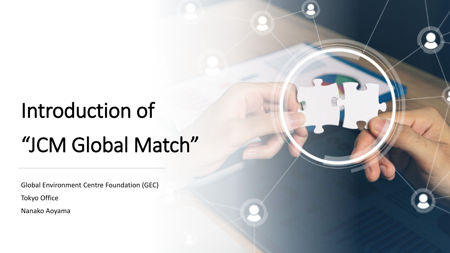## Introduction of

## "JCM Global Match"

Global Environment Centre Foundation (GEC)

Tokyo Office

Nanako Aoyama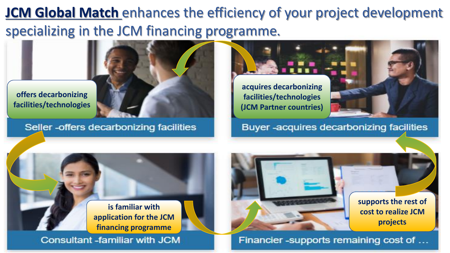## **JCM Global Match** enhances the efficiency of your project development specializing in the JCM financing programme.



**offers decarbonizing facilities/technologies**

Seller - offers decarbonizing facilities

**acquires decarbonizing facilities/technologies (JCM Partner countries)**

Buyer-acquires decarbonizing facilities





Financier -supports remaining cost of ...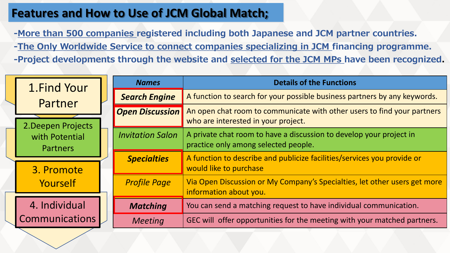## **Features and How to Use of JCM Global Match;**

**-More than 500 companies registered including both Japanese and JCM partner countries. -The Only Worldwide Service to connect companies specializing in JCM financing programme. -Project developments through the website and selected for the JCM MPs have been recognized.**

| 1. Find Your<br>Partner<br>2. Deepen Projects |  | <b>Names</b>            | <b>Details of the Functions</b>                                                                                |
|-----------------------------------------------|--|-------------------------|----------------------------------------------------------------------------------------------------------------|
|                                               |  | <b>Search Engine</b>    | A function to search for your possible business partners by any keywords.                                      |
|                                               |  | <b>Open Discussion</b>  | An open chat room to communicate with other users to find your partners<br>who are interested in your project. |
| with Potential<br><b>Partners</b>             |  | <b>Invitation Salon</b> | A private chat room to have a discussion to develop your project in<br>practice only among selected people.    |
| 3. Promote<br>Yourself                        |  | <b>Specialties</b>      | A function to describe and publicize facilities/services you provide or<br>would like to purchase              |
|                                               |  | <b>Profile Page</b>     | Via Open Discussion or My Company's Specialties, let other users get more<br>information about you.            |
| 4. Individual<br><b>Communications</b>        |  | <b>Matching</b>         | You can send a matching request to have individual communication.                                              |
|                                               |  | <b>Meeting</b>          | GEC will offer opportunities for the meeting with your matched partners.                                       |